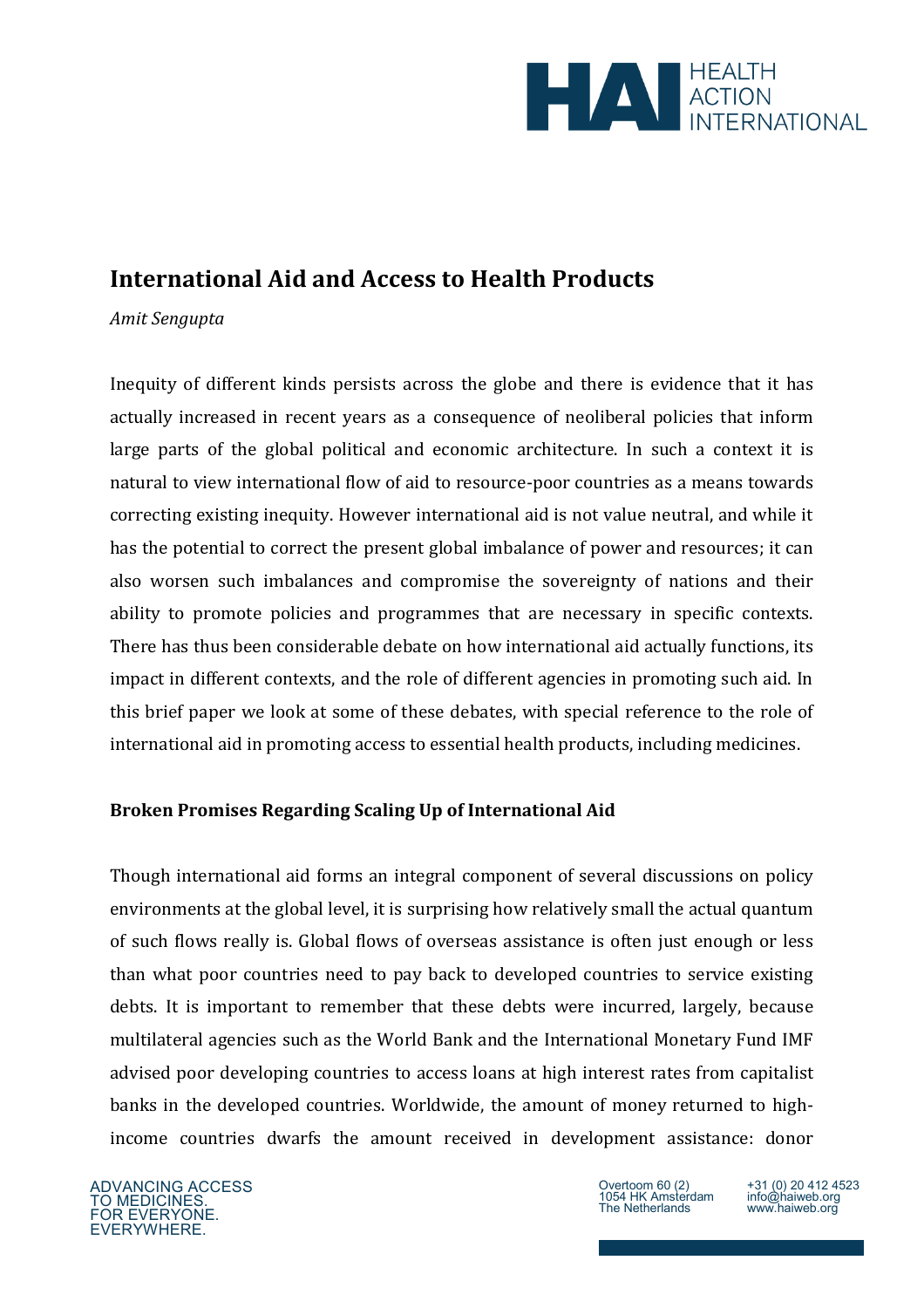

# **International Aid and Access to Health Products**

## *Amit Sengupta*

Inequity of different kinds persists across the globe and there is evidence that it has actually increased in recent years as a consequence of neoliberal policies that inform large parts of the global political and economic architecture. In such a context it is natural to view international flow of aid to resource-poor countries as a means towards correcting existing inequity. However international aid is not value neutral, and while it has the potential to correct the present global imbalance of power and resources; it can also worsen such imbalances and compromise the sovereignty of nations and their ability to promote policies and programmes that are necessary in specific contexts. There has thus been considerable debate on how international aid actually functions, its impact in different contexts, and the role of different agencies in promoting such aid. In this brief paper we look at some of these debates, with special reference to the role of international aid in promoting access to essential health products, including medicines.

## **Broken Promises Regarding Scaling Up of International Aid**

Though international aid forms an integral component of several discussions on policy environments at the global level, it is surprising how relatively small the actual quantum of such flows really is. Global flows of overseas assistance is often just enough or less than what poor countries need to pay back to developed countries to service existing debts. It is important to remember that these debts were incurred, largely, because multilateral agencies such as the World Bank and the International Monetary Fund IMF advised poor developing countries to access loans at high interest rates from capitalist banks in the developed countries. Worldwide, the amount of money returned to highincome countries dwarfs the amount received in development assistance: donor

ADVANCING ACCESS TO MEDICINES. FOR EVERYONE. EVERYWHERE.

Overtoom 60 (2) 1054 HK Amsterdam The Netherlands

+31 (0) 20 412 4523 info@haiweb.org www.haiweb.org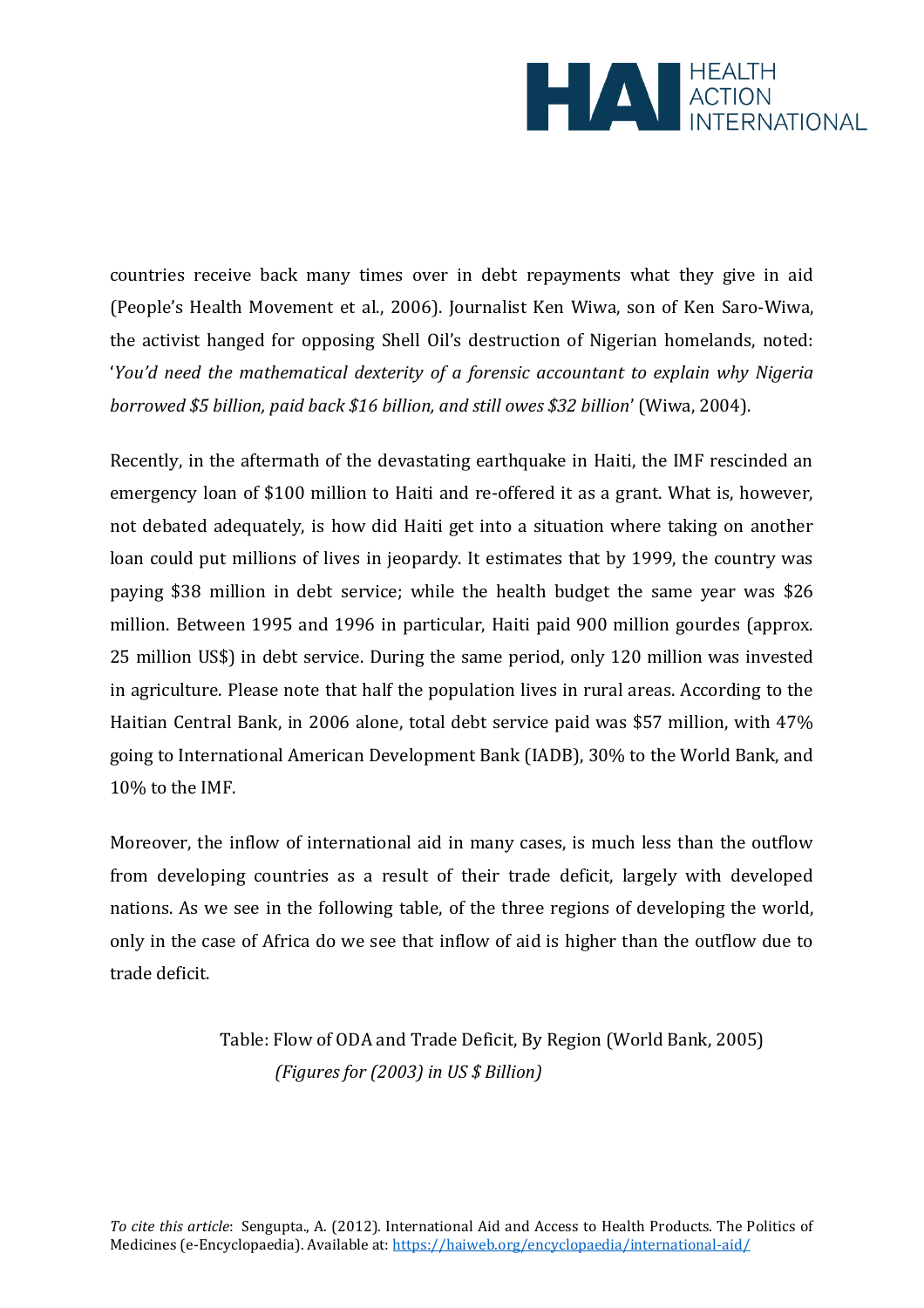

countries receive back many times over in debt repayments what they give in aid (People's Health Movement et al., 2006). Journalist Ken Wiwa, son of Ken Saro-Wiwa, the activist hanged for opposing Shell Oil's destruction of Nigerian homelands, noted: '*You'd need the mathematical dexterity of a forensic accountant to explain why Nigeria borrowed \$5 billion, paid back \$16 billion, and still owes \$32 billion*' (Wiwa, 2004).

Recently, in the aftermath of the devastating earthquake in Haiti, the IMF rescinded an emergency loan of \$100 million to Haiti and re-offered it as a grant. What is, however, not debated adequately, is how did Haiti get into a situation where taking on another loan could put millions of lives in jeopardy. It estimates that by 1999, the country was paying \$38 million in debt service; while the health budget the same year was \$26 million. Between 1995 and 1996 in particular, Haiti paid 900 million gourdes (approx. 25 million US\$) in debt service. During the same period, only 120 million was invested in agriculture. Please note that half the population lives in rural areas. According to the Haitian Central Bank, in 2006 alone, total debt service paid was \$57 million, with 47% going to International American Development Bank (IADB), 30% to the World Bank, and 10% to the IMF.

Moreover, the inflow of international aid in many cases, is much less than the outflow from developing countries as a result of their trade deficit, largely with developed nations. As we see in the following table, of the three regions of developing the world, only in the case of Africa do we see that inflow of aid is higher than the outflow due to trade deficit.

> Table: Flow of ODA and Trade Deficit, By Region (World Bank, 2005) *(Figures for (2003) in US \$ Billion)*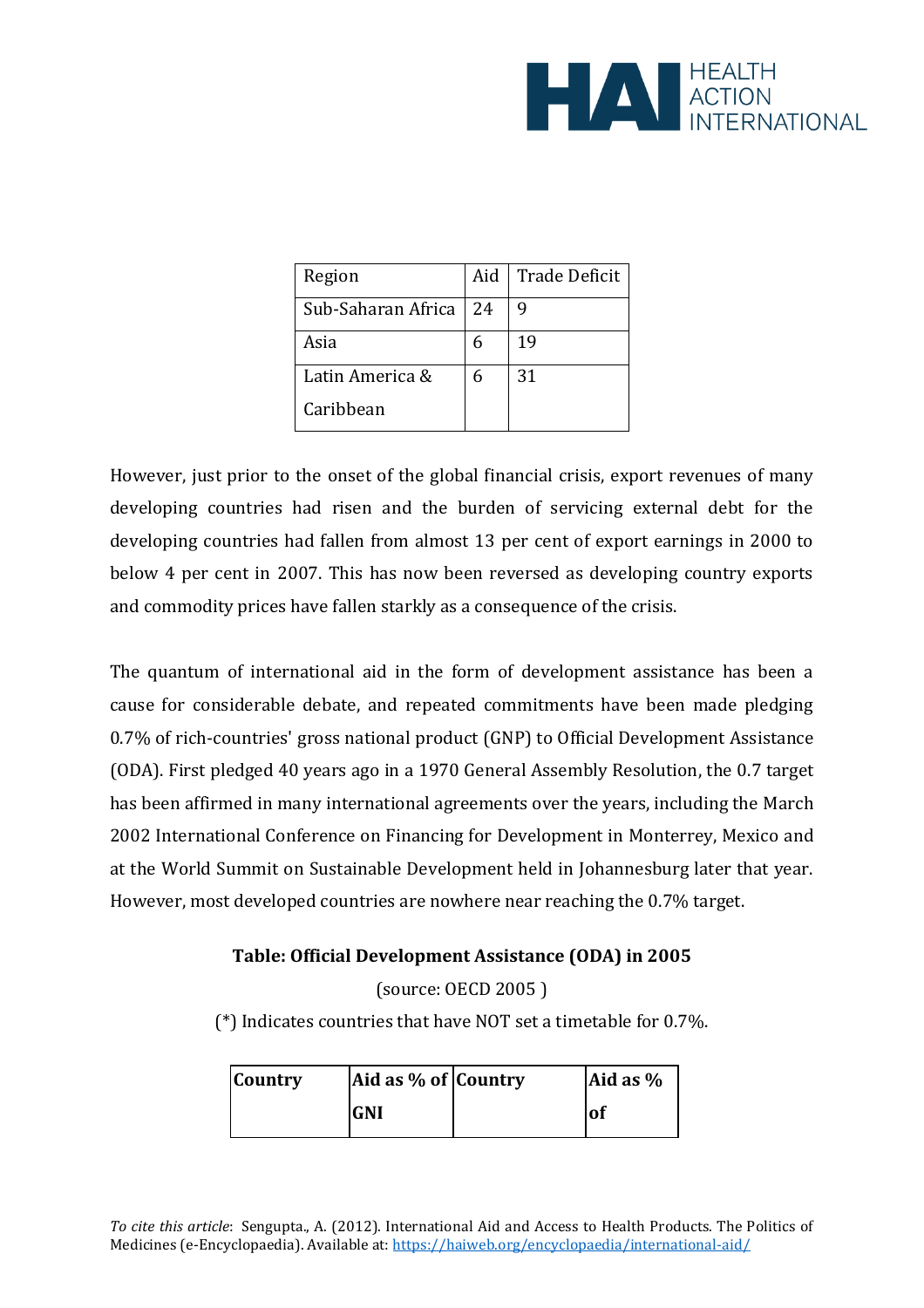

| Region             | Aid l | <b>Trade Deficit</b> |
|--------------------|-------|----------------------|
| Sub-Saharan Africa | 24    | 9                    |
| Asia               |       | 19                   |
| Latin America &    |       | 31                   |
| Caribbean          |       |                      |

However, just prior to the onset of the global financial crisis, export revenues of many developing countries had risen and the burden of servicing external debt for the developing countries had fallen from almost 13 per cent of export earnings in 2000 to below 4 per cent in 2007. This has now been reversed as developing country exports and commodity prices have fallen starkly as a consequence of the crisis.

The quantum of international aid in the form of development assistance has been a cause for considerable debate, and repeated commitments have been made pledging 0.7% of rich-countries' gross national product (GNP) to Official Development Assistance (ODA). First pledged 40 years ago in a 1970 General Assembly Resolution, the 0.7 target has been affirmed in many international agreements over the years, including the [March](http://www.unmillenniumproject.org/documents/07_aconf198-11.pdf)  [2002 International Conference on Financing for Development in Monterrey, Mexico](http://www.unmillenniumproject.org/documents/07_aconf198-11.pdf) and at the World Summit on Sustainable Development held in Johannesburg later that year. However, most developed countries are nowhere near reaching the 0.7% target.

## **Table: Official Development Assistance (ODA) in 2005**

(source: [OECD 2005 \)](http://www.unmillenniumproject.org/documents/07_OECD_2005.pdf)

(\*) Indicates countries that have NOT set a timetable for 0.7%.

| <b>Country</b> | Aid as % of Country | Aid as $%$ |
|----------------|---------------------|------------|
|                | <b>GNI</b>          | 'of        |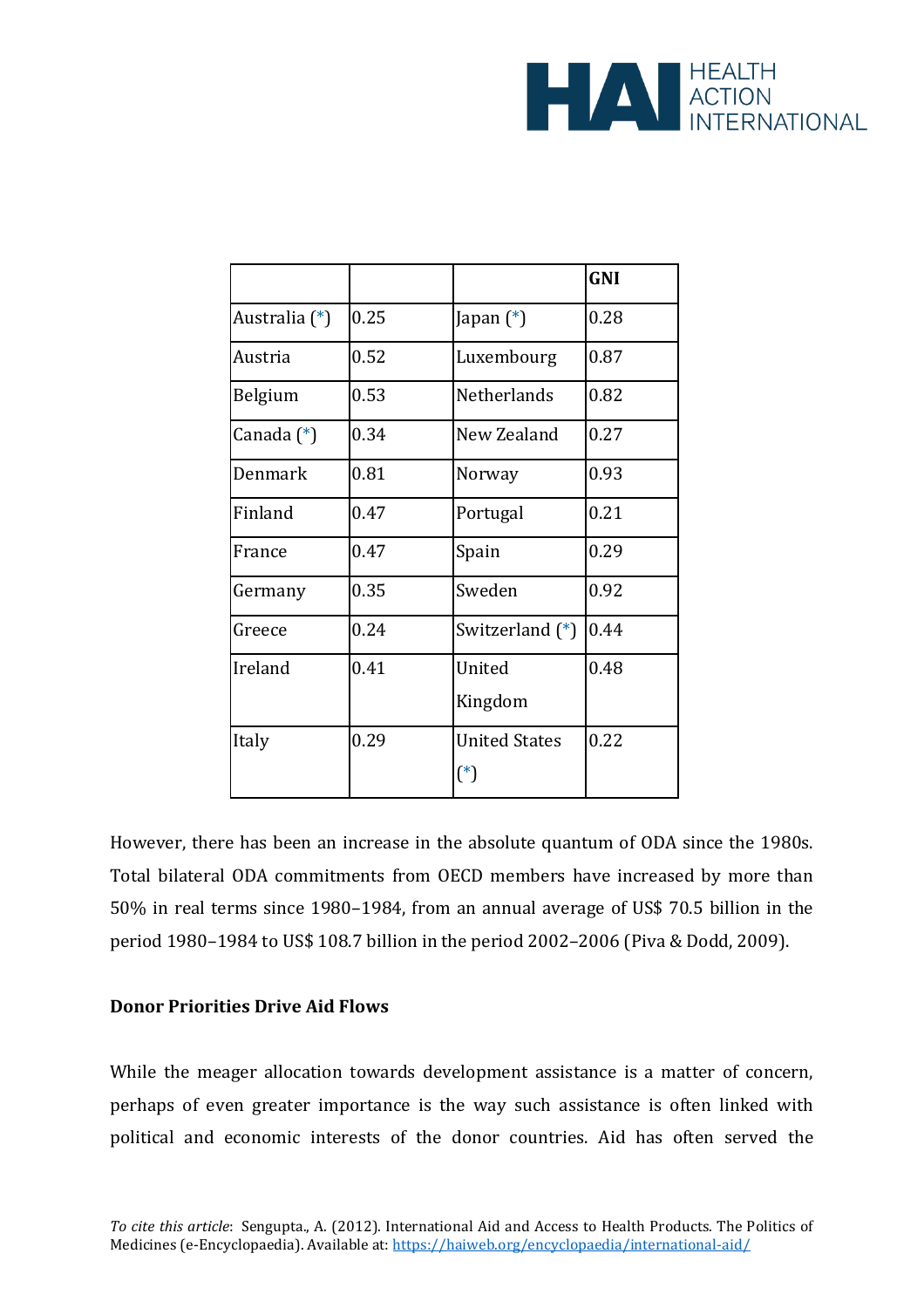

|               |      |                                       | <b>GNI</b> |
|---------------|------|---------------------------------------|------------|
| Australia (*) | 0.25 | Japan (*)                             | 0.28       |
| Austria       | 0.52 | Luxembourg                            | 0.87       |
| Belgium       | 0.53 | <b>Netherlands</b>                    | 0.82       |
| Canada (*)    | 0.34 | New Zealand                           | 0.27       |
| Denmark       | 0.81 | Norway                                | 0.93       |
| Finland       | 0.47 | Portugal                              | 0.21       |
| France        | 0.47 | Spain                                 | 0.29       |
| Germany       | 0.35 | Sweden                                | 0.92       |
| Greece        | 0.24 | Switzerland $(*)$                     | 0.44       |
| Ireland       | 0.41 | United<br>Kingdom                     | 0.48       |
| Italy         | 0.29 | <b>United States</b><br>$(\hbox{}^*)$ | 0.22       |

However, there has been an increase in the absolute quantum of ODA since the 1980s. Total bilateral ODA commitments from OECD members have increased by more than 50% in real terms since 1980–1984, from an annual average of US\$ 70.5 billion in the period 1980–1984 to US\$ 108.7 billion in the period 2002–2006 (Piva & Dodd, 2009).

#### **Donor Priorities Drive Aid Flows**

While the meager allocation towards development assistance is a matter of concern, perhaps of even greater importance is the way such assistance is often linked with political and economic interests of the donor countries. Aid has often served the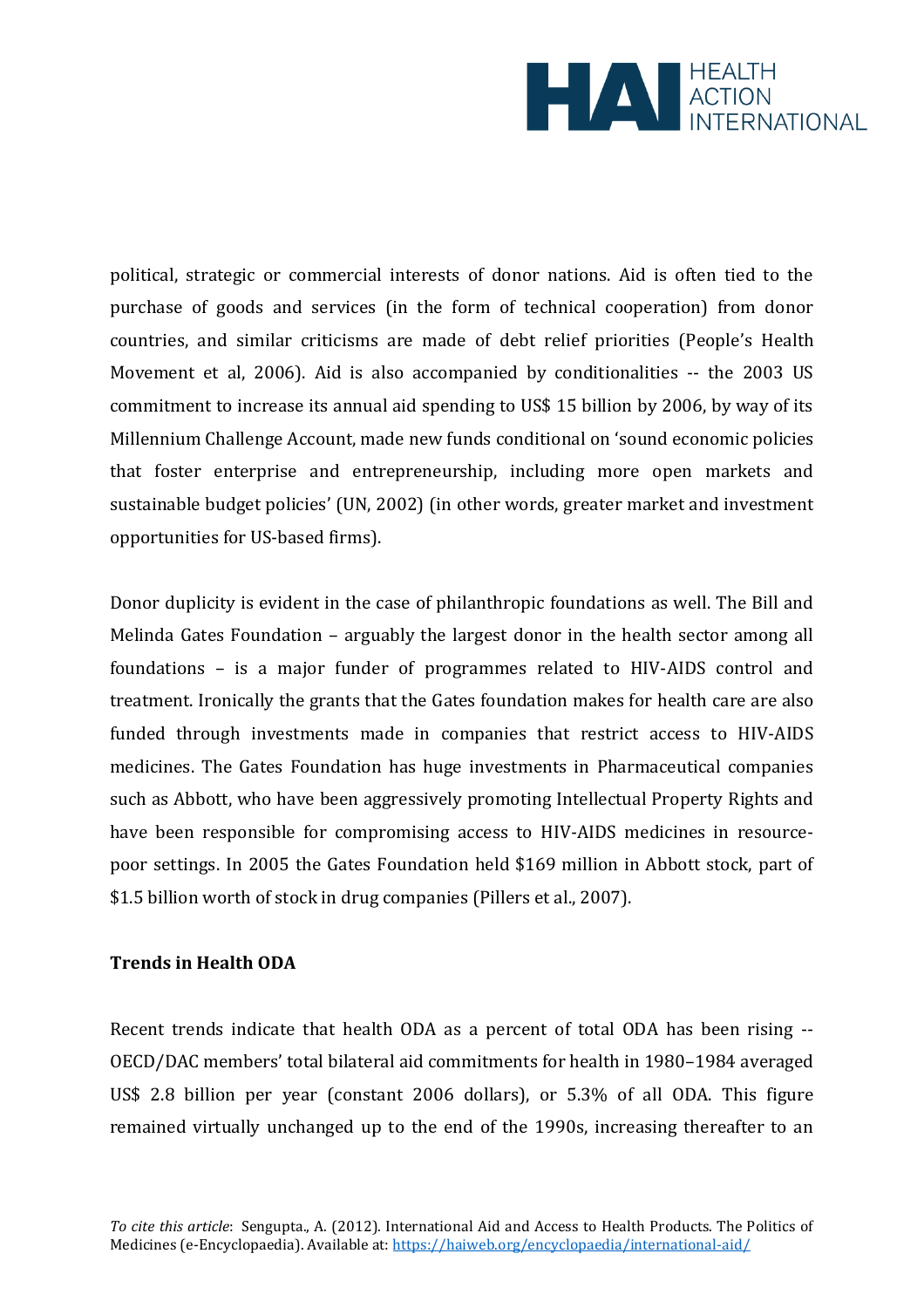

political, strategic or commercial interests of donor nations. Aid is often tied to the purchase of goods and services (in the form of technical cooperation) from donor countries, and similar criticisms are made of debt relief priorities (People's Health Movement et al, 2006). Aid is also accompanied by conditionalities -- the 2003 US commitment to increase its annual aid spending to US\$ 15 billion by 2006, by way of its Millennium Challenge Account, made new funds conditional on 'sound economic policies that foster enterprise and entrepreneurship, including more open markets and sustainable budget policies' (UN, 2002) (in other words, greater market and investment opportunities for US-based firms).

Donor duplicity is evident in the case of philanthropic foundations as well. The Bill and Melinda Gates Foundation – arguably the largest donor in the health sector among all foundations – is a major funder of programmes related to HIV-AIDS control and treatment. Ironically the grants that the Gates foundation makes for health care are also funded through investments made in companies that restrict access to HIV-AIDS medicines. The Gates Foundation has huge investments in Pharmaceutical companies such as Abbott, who have been aggressively promoting Intellectual Property Rights and have been responsible for compromising access to HIV-AIDS medicines in resourcepoor settings. In 2005 the Gates Foundation held \$169 million in Abbott stock, part of \$1.5 billion worth of stock in drug companies (Pillers et al., 2007).

## **Trends in Health ODA**

Recent trends indicate that health ODA as a percent of total ODA has been rising -- OECD/DAC members' total bilateral aid commitments for health in 1980–1984 averaged US\$ 2.8 billion per year (constant 2006 dollars), or 5.3% of all ODA. This figure remained virtually unchanged up to the end of the 1990s, increasing thereafter to an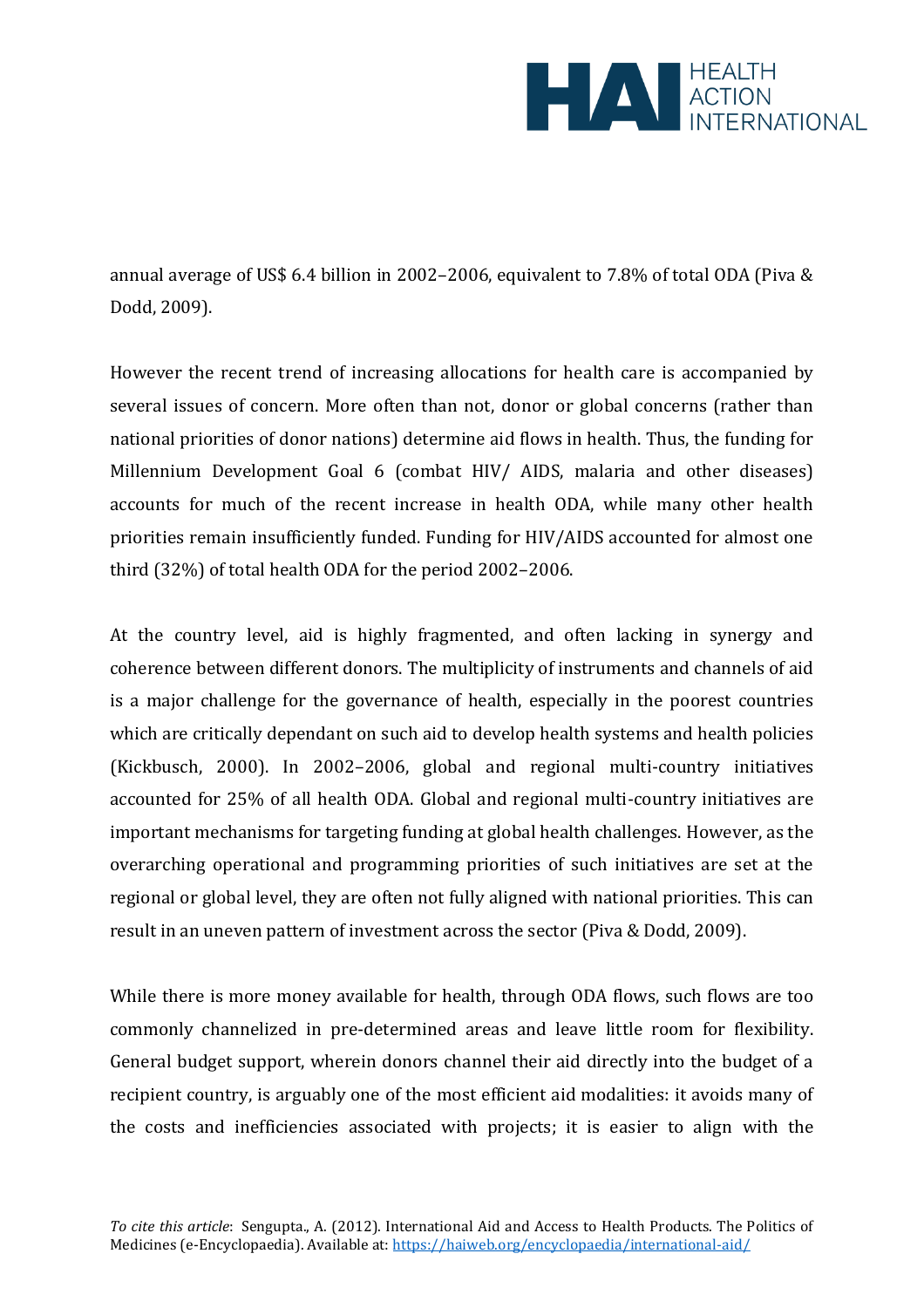

annual average of US\$ 6.4 billion in 2002–2006, equivalent to 7.8% of total ODA (Piva & Dodd, 2009).

However the recent trend of increasing allocations for health care is accompanied by several issues of concern. More often than not, donor or global concerns (rather than national priorities of donor nations) determine aid flows in health. Thus, the funding for Millennium Development Goal 6 (combat HIV/ AIDS, malaria and other diseases) accounts for much of the recent increase in health ODA, while many other health priorities remain insufficiently funded. Funding for HIV/AIDS accounted for almost one third (32%) of total health ODA for the period 2002–2006.

At the country level, aid is highly fragmented, and often lacking in synergy and coherence between different donors. The multiplicity of instruments and channels of aid is a major challenge for the governance of health, especially in the poorest countries which are critically dependant on such aid to develop health systems and health policies (Kickbusch, 2000). In 2002–2006, global and regional multi-country initiatives accounted for 25% of all health ODA. Global and regional multi-country initiatives are important mechanisms for targeting funding at global health challenges. However, as the overarching operational and programming priorities of such initiatives are set at the regional or global level, they are often not fully aligned with national priorities. This can result in an uneven pattern of investment across the sector (Piva & Dodd, 2009).

While there is more money available for health, through ODA flows, such flows are too commonly channelized in pre-determined areas and leave little room for flexibility. General budget support, wherein donors channel their aid directly into the budget of a recipient country, is arguably one of the most efficient aid modalities: it avoids many of the costs and inefficiencies associated with projects; it is easier to align with the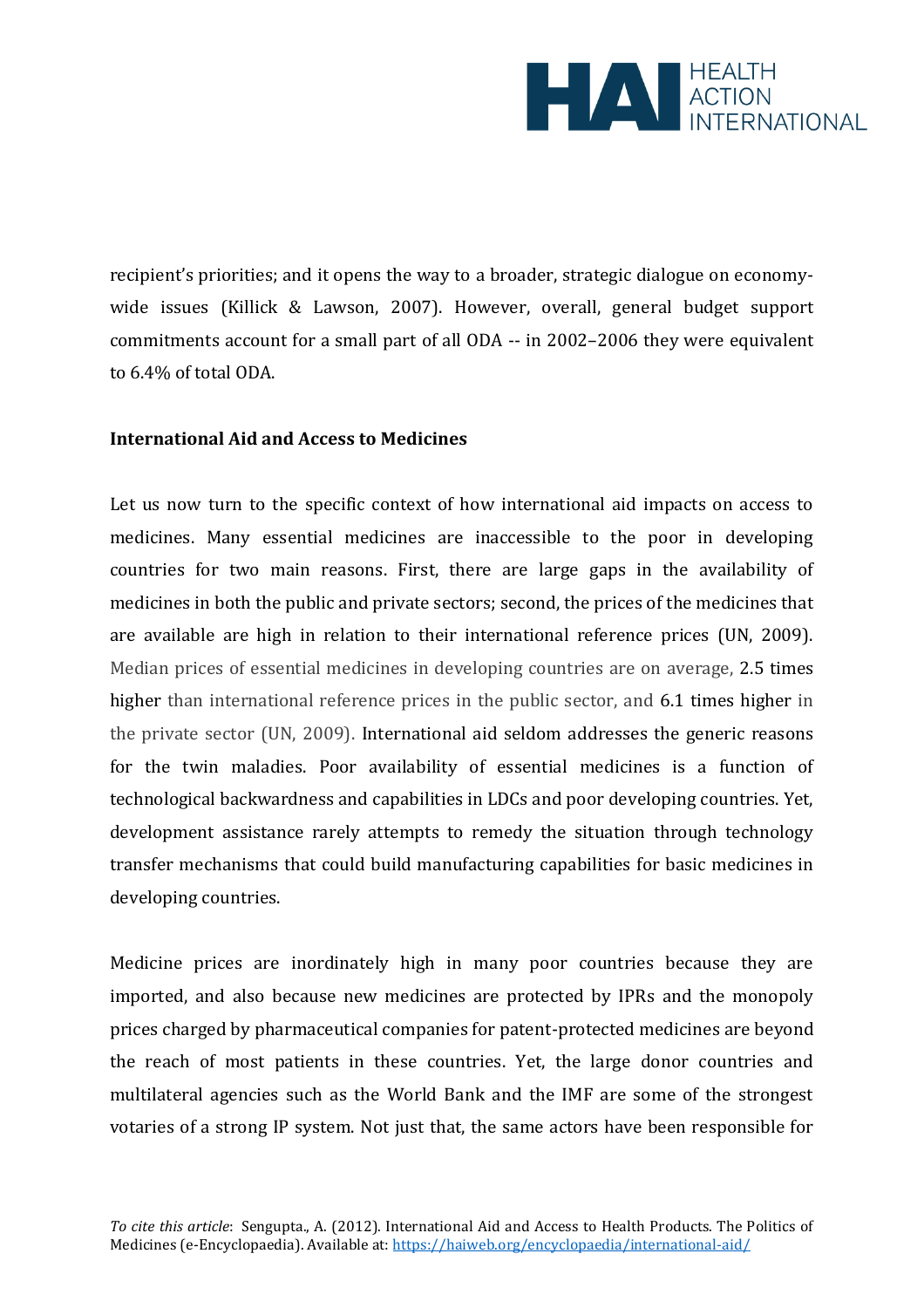

recipient's priorities; and it opens the way to a broader, strategic dialogue on economywide issues (Killick & Lawson, 2007). However, overall, general budget support commitments account for a small part of all ODA -- in 2002–2006 they were equivalent to 6.4% of total ODA.

#### **International Aid and Access to Medicines**

Let us now turn to the specific context of how international aid impacts on access to medicines. Many essential medicines are inaccessible to the poor in developing countries for two main reasons. First, there are large gaps in the availability of medicines in both the public and private sectors; second, the prices of the medicines that are available are high in relation to their international reference prices (UN, 2009). Median prices of essential medicines in developing countries are on average, 2.5 times higher than international reference prices in the public sector, and 6.1 times higher in the private sector (UN, 2009). International aid seldom addresses the generic reasons for the twin maladies. Poor availability of essential medicines is a function of technological backwardness and capabilities in LDCs and poor developing countries. Yet, development assistance rarely attempts to remedy the situation through technology transfer mechanisms that could build manufacturing capabilities for basic medicines in developing countries.

Medicine prices are inordinately high in many poor countries because they are imported, and also because new medicines are protected by IPRs and the monopoly prices charged by pharmaceutical companies for patent-protected medicines are beyond the reach of most patients in these countries. Yet, the large donor countries and multilateral agencies such as the World Bank and the IMF are some of the strongest votaries of a strong IP system. Not just that, the same actors have been responsible for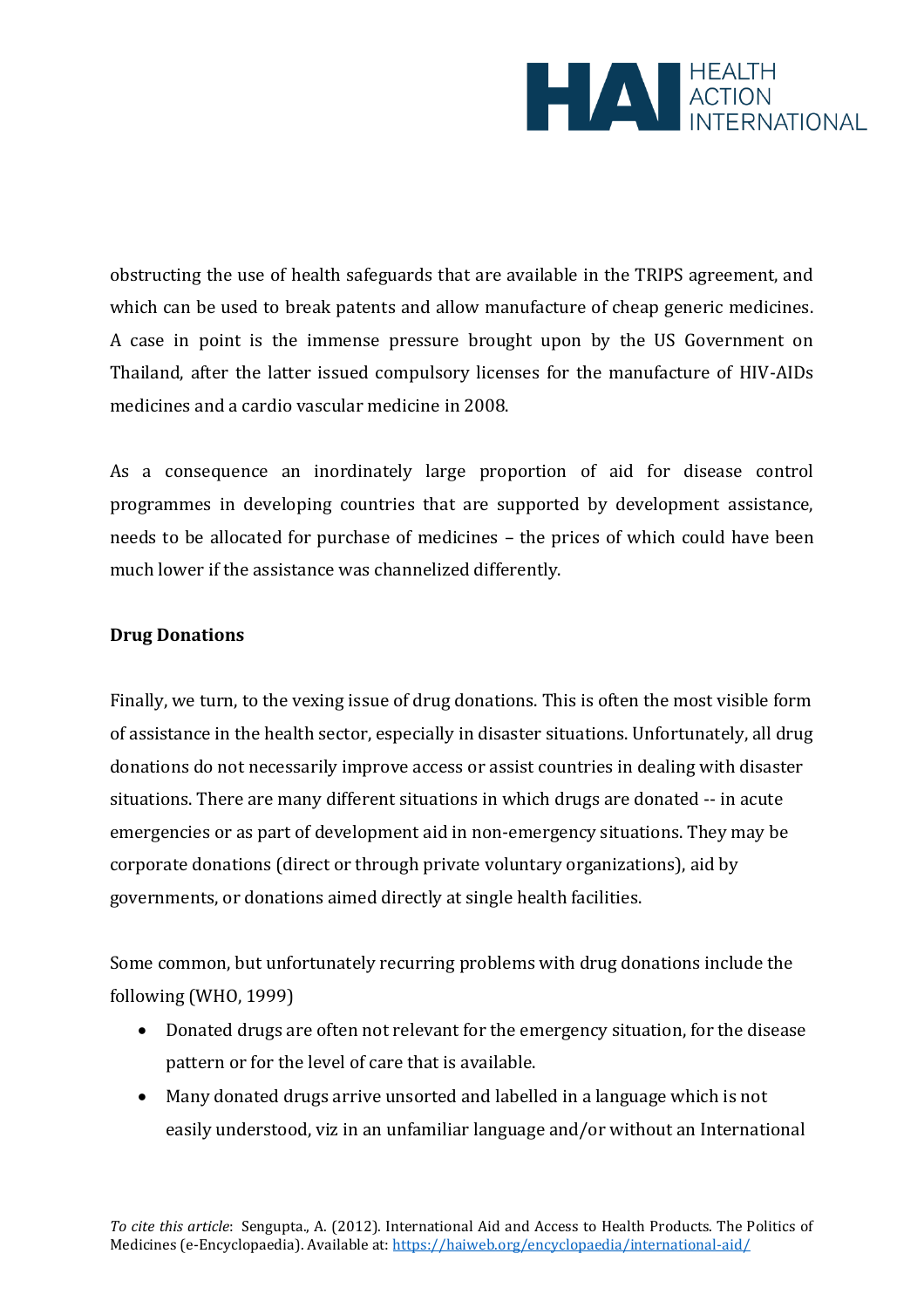

obstructing the use of health safeguards that are available in the TRIPS agreement, and which can be used to break patents and allow manufacture of cheap generic medicines. A case in point is the immense pressure brought upon by the US Government on Thailand, after the latter issued compulsory licenses for the manufacture of HIV-AIDs medicines and a cardio vascular medicine in 2008.

As a consequence an inordinately large proportion of aid for disease control programmes in developing countries that are supported by development assistance, needs to be allocated for purchase of medicines – the prices of which could have been much lower if the assistance was channelized differently.

# **Drug Donations**

Finally, we turn, to the vexing issue of drug donations. This is often the most visible form of assistance in the health sector, especially in disaster situations. Unfortunately, all drug donations do not necessarily improve access or assist countries in dealing with disaster situations. There are many different situations in which drugs are donated -- in acute emergencies or as part of development aid in non-emergency situations. They may be corporate donations (direct or through private voluntary organizations), aid by governments, or donations aimed directly at single health facilities.

Some common, but unfortunately recurring problems with drug donations include the following (WHO, 1999)

- Donated drugs are often not relevant for the emergency situation, for the disease pattern or for the level of care that is available.
- Many donated drugs arrive unsorted and labelled in a language which is not easily understood, viz in an unfamiliar language and/or without an International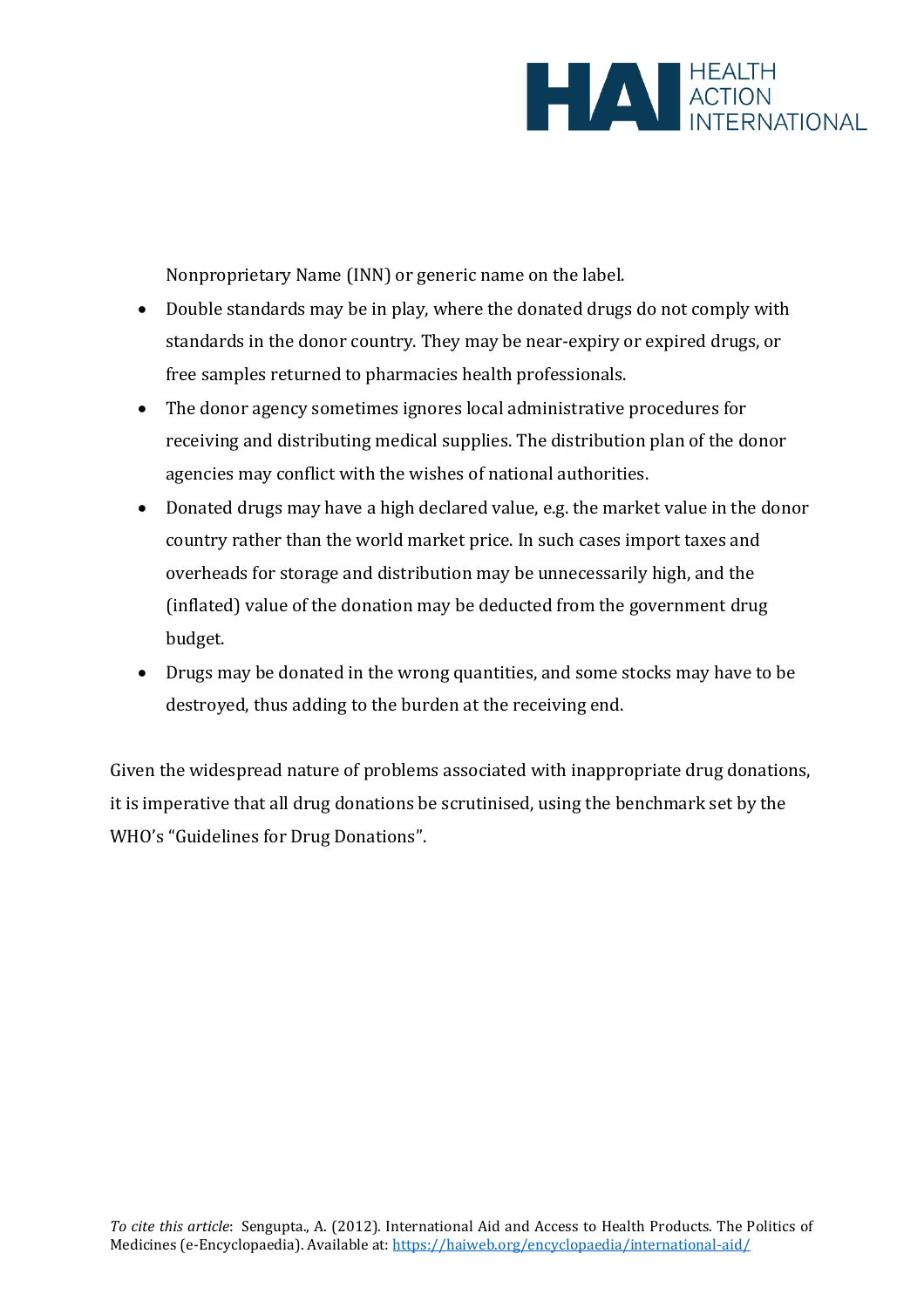

Nonproprietary Name (INN) or generic name on the label.

- Double standards may be in play, where the donated drugs do not comply with standards in the donor country. They may be near-expiry or expired drugs, or free samples returned to pharmacies health professionals.
- The donor agency sometimes ignores local administrative procedures for receiving and distributing medical supplies. The distribution plan of the donor agencies may conflict with the wishes of national authorities.
- Donated drugs may have a high declared value, e.g. the market value in the donor country rather than the world market price. In such cases import taxes and overheads for storage and distribution may be unnecessarily high, and the (inflated) value of the donation may be deducted from the government drug budget.
- Drugs may be donated in the wrong quantities, and some stocks may have to be destroyed, thus adding to the burden at the receiving end.

Given the widespread nature of problems associated with inappropriate drug donations, it is imperative that all drug donations be scrutinised, using the benchmark set by the WHO's "Guidelines for Drug Donations" .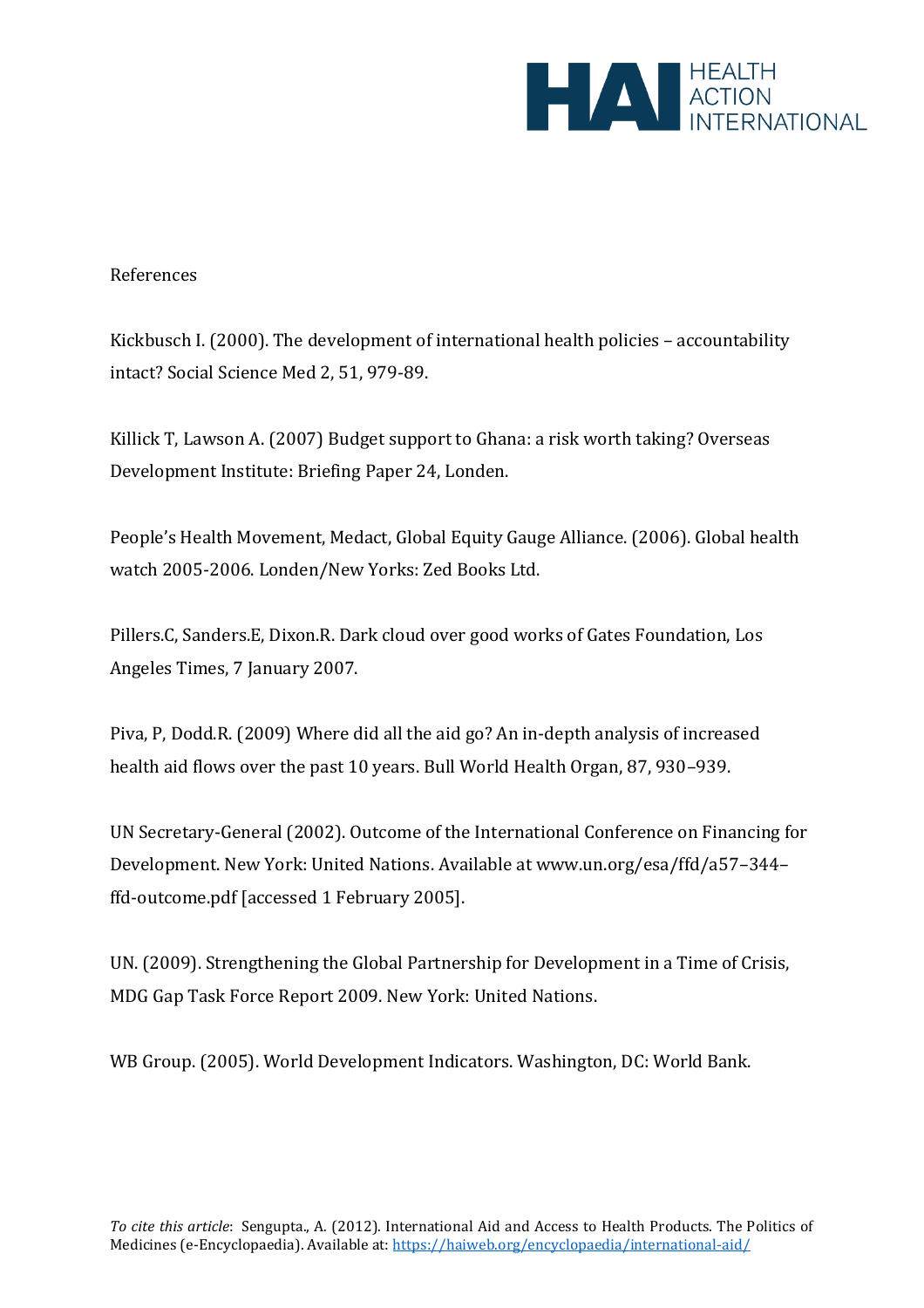

# References

Kickbusch I. (2000). The development of international health policies – accountability intact? Social Science Med 2, 51, 979-89.

Killick T, Lawson A. (2007) Budget support to Ghana: a risk worth taking? Overseas Development Institute: Briefing Paper 24, Londen.

People's Health Movement, Medact, Global Equity Gauge Alliance. (2006). Global health watch 2005-2006. Londen/New Yorks: Zed Books Ltd.

Pillers.C, Sanders.E, Dixon.R. Dark cloud over good works of Gates Foundation, Los Angeles Times, 7 January 2007.

Piva, P, Dodd.R. (2009) Where did all the aid go? An in-depth analysis of increased health aid flows over the past 10 years. Bull World Health Organ, 87, 930–939.

UN Secretary-General (2002). Outcome of the International Conference on Financing for Development. New York: United Nations. Available at www.un.org/esa/ffd/a57–344– ffd-outcome.pdf [accessed 1 February 2005].

UN. (2009). Strengthening the Global Partnership for Development in a Time of Crisis, MDG Gap Task Force Report 2009. New York: United Nations.

WB Group. (2005). World Development Indicators. Washington, DC: World Bank.